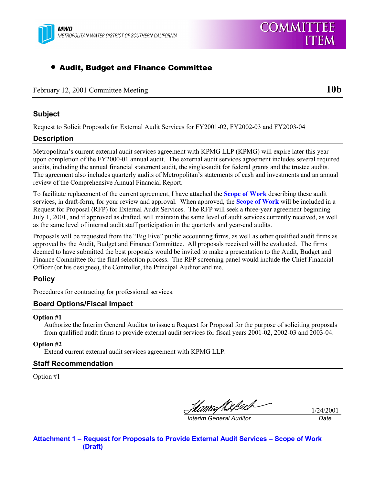

# • Audit, Budget and Finance Committee

February 12, 2001 Committee Meeting **10b** 

### **Subject**

Request to Solicit Proposals for External Audit Services for FY2001-02, FY2002-03 and FY2003-04

## **Description**

Metropolitan's current external audit services agreement with KPMG LLP (KPMG) will expire later this year upon completion of the FY2000-01 annual audit. The external audit services agreement includes several required audits, including the annual financial statement audit, the single-audit for federal grants and the trustee audits. The agreement also includes quarterly audits of Metropolitan's statements of cash and investments and an annual review of the Comprehensive Annual Financial Report.

To facilitate replacement of the current agreement, I have attached the **Scope of Work** describing these audit services, in draft-form, for your review and approval. When approved, the **Scope of Work** will be included in a Request for Proposal (RFP) for External Audit Services. The RFP will seek a three-year agreement beginning July 1, 2001, and if approved as drafted, will maintain the same level of audit services currently received, as well as the same level of internal audit staff participation in the quarterly and year-end audits.

Proposals will be requested from the "Big Five" public accounting firms, as well as other qualified audit firms as approved by the Audit, Budget and Finance Committee. All proposals received will be evaluated. The firms deemed to have submitted the best proposals would be invited to make a presentation to the Audit, Budget and Finance Committee for the final selection process. The RFP screening panel would include the Chief Financial Officer (or his designee), the Controller, the Principal Auditor and me.

## **Policy**

Procedures for contracting for professional services.

## **Board Options/Fiscal Impact**

#### **Option #1**

Authorize the Interim General Auditor to issue a Request for Proposal for the purpose of soliciting proposals from qualified audit firms to provide external audit services for fiscal years 2001-02, 2002-03 and 2003-04.

**Option #2**

Extend current external audit services agreement with KPMG LLP.

#### **Staff Recommendation**

Option #1

U*cmaf Diß*ach-

1/24/2001 *Interim General Auditor Date*

**Attachment 1 – Request for Proposals to Provide External Audit Services – Scope of Work (Draft)**

**ITEM** 

**COMMITTEE**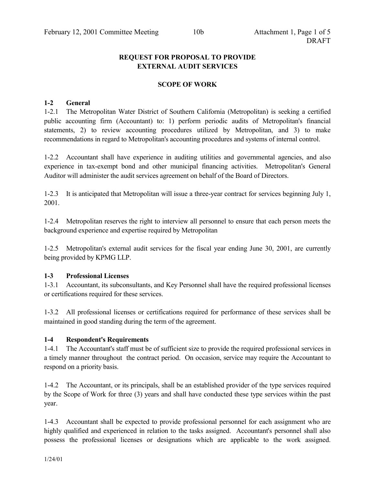## **REQUEST FOR PROPOSAL TO PROVIDE EXTERNAL AUDIT SERVICES**

## **SCOPE OF WORK**

### **1-2 General**

1-2.1 The Metropolitan Water District of Southern California (Metropolitan) is seeking a certified public accounting firm (Accountant) to: 1) perform periodic audits of Metropolitan's financial statements, 2) to review accounting procedures utilized by Metropolitan, and 3) to make recommendations in regard to Metropolitan's accounting procedures and systems of internal control.

1-2.2 Accountant shall have experience in auditing utilities and governmental agencies, and also experience in tax-exempt bond and other municipal financing activities. Metropolitan's General Auditor will administer the audit services agreement on behalf of the Board of Directors.

1-2.3 It is anticipated that Metropolitan will issue a three-year contract for services beginning July 1, 2001.

1-2.4 Metropolitan reserves the right to interview all personnel to ensure that each person meets the background experience and expertise required by Metropolitan

1-2.5 Metropolitan's external audit services for the fiscal year ending June 30, 2001, are currently being provided by KPMG LLP.

### **1-3 Professional Licenses**

1-3.1 Accountant, its subconsultants, and Key Personnel shall have the required professional licenses or certifications required for these services.

1-3.2 All professional licenses or certifications required for performance of these services shall be maintained in good standing during the term of the agreement.

## **1-4 Respondent's Requirements**

1-4.1 The Accountant's staff must be of sufficient size to provide the required professional services in a timely manner throughout the contract period. On occasion, service may require the Accountant to respond on a priority basis.

1-4.2 The Accountant, or its principals, shall be an established provider of the type services required by the Scope of Work for three (3) years and shall have conducted these type services within the past year.

1-4.3 Accountant shall be expected to provide professional personnel for each assignment who are highly qualified and experienced in relation to the tasks assigned. Accountant's personnel shall also possess the professional licenses or designations which are applicable to the work assigned.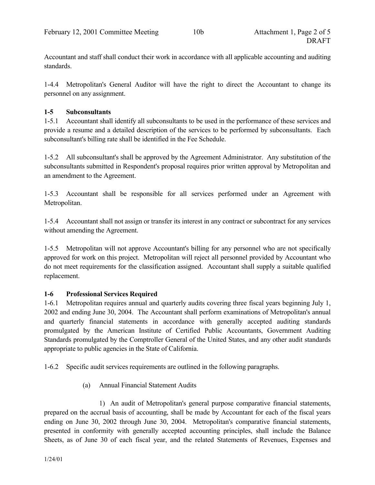Accountant and staff shall conduct their work in accordance with all applicable accounting and auditing standards.

1-4.4 Metropolitan's General Auditor will have the right to direct the Accountant to change its personnel on any assignment.

## **1-5 Subconsultants**

1-5.1 Accountant shall identify all subconsultants to be used in the performance of these services and provide a resume and a detailed description of the services to be performed by subconsultants. Each subconsultant's billing rate shall be identified in the Fee Schedule.

1-5.2 All subconsultant's shall be approved by the Agreement Administrator. Any substitution of the subconsultants submitted in Respondent's proposal requires prior written approval by Metropolitan and an amendment to the Agreement.

1-5.3 Accountant shall be responsible for all services performed under an Agreement with Metropolitan.

1-5.4 Accountant shall not assign or transfer its interest in any contract or subcontract for any services without amending the Agreement.

1-5.5 Metropolitan will not approve Accountant's billing for any personnel who are not specifically approved for work on this project. Metropolitan will reject all personnel provided by Accountant who do not meet requirements for the classification assigned. Accountant shall supply a suitable qualified replacement.

## **1-6 Professional Services Required**

1-6.1 Metropolitan requires annual and quarterly audits covering three fiscal years beginning July 1, 2002 and ending June 30, 2004. The Accountant shall perform examinations of Metropolitan's annual and quarterly financial statements in accordance with generally accepted auditing standards promulgated by the American Institute of Certified Public Accountants, Government Auditing Standards promulgated by the Comptroller General of the United States, and any other audit standards appropriate to public agencies in the State of California.

1-6.2 Specific audit services requirements are outlined in the following paragraphs.

(a) Annual Financial Statement Audits

1) An audit of Metropolitan's general purpose comparative financial statements, prepared on the accrual basis of accounting, shall be made by Accountant for each of the fiscal years ending on June 30, 2002 through June 30, 2004. Metropolitan's comparative financial statements, presented in conformity with generally accepted accounting principles, shall include the Balance Sheets, as of June 30 of each fiscal year, and the related Statements of Revenues, Expenses and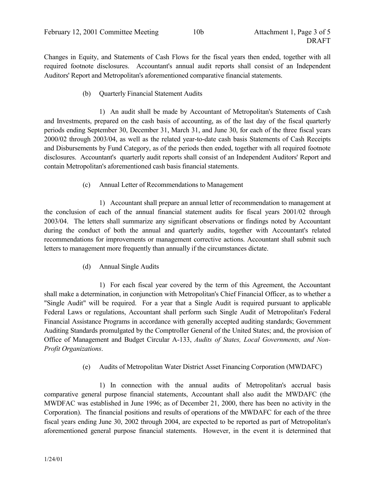Changes in Equity, and Statements of Cash Flows for the fiscal years then ended, together with all required footnote disclosures. Accountant's annual audit reports shall consist of an Independent Auditors' Report and Metropolitan's aforementioned comparative financial statements.

(b) Quarterly Financial Statement Audits

1) An audit shall be made by Accountant of Metropolitan's Statements of Cash and Investments, prepared on the cash basis of accounting, as of the last day of the fiscal quarterly periods ending September 30, December 31, March 31, and June 30, for each of the three fiscal years 2000/02 through 2003/04, as well as the related year-to-date cash basis Statements of Cash Receipts and Disbursements by Fund Category, as of the periods then ended, together with all required footnote disclosures. Accountant's quarterly audit reports shall consist of an Independent Auditors' Report and contain Metropolitan's aforementioned cash basis financial statements.

(c) Annual Letter of Recommendations to Management

1) Accountant shall prepare an annual letter of recommendation to management at the conclusion of each of the annual financial statement audits for fiscal years 2001/02 through 2003/04. The letters shall summarize any significant observations or findings noted by Accountant during the conduct of both the annual and quarterly audits, together with Accountant's related recommendations for improvements or management corrective actions. Accountant shall submit such letters to management more frequently than annually if the circumstances dictate.

(d) Annual Single Audits

1) For each fiscal year covered by the term of this Agreement, the Accountant shall make a determination, in conjunction with Metropolitan's Chief Financial Officer, as to whether a "Single Audit" will be required. For a year that a Single Audit is required pursuant to applicable Federal Laws or regulations, Accountant shall perform such Single Audit of Metropolitan's Federal Financial Assistance Programs in accordance with generally accepted auditing standards; Government Auditing Standards promulgated by the Comptroller General of the United States; and, the provision of Office of Management and Budget Circular A-133, *Audits of States, Local Governments, and Non-Profit Organizations*.

(e) Audits of Metropolitan Water District Asset Financing Corporation (MWDAFC)

1) In connection with the annual audits of Metropolitan's accrual basis comparative general purpose financial statements, Accountant shall also audit the MWDAFC (the MWDFAC was established in June 1996; as of December 21, 2000, there has been no activity in the Corporation). The financial positions and results of operations of the MWDAFC for each of the three fiscal years ending June 30, 2002 through 2004, are expected to be reported as part of Metropolitan's aforementioned general purpose financial statements. However, in the event it is determined that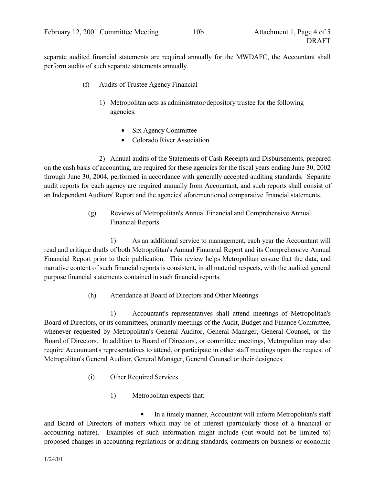separate audited financial statements are required annually for the MWDAFC, the Accountant shall perform audits of such separate statements annually.

- (f) Audits of Trustee Agency Financial
	- 1) Metropolitan acts as administrator/depository trustee for the following agencies:
		- Six Agency Committee
		- Colorado River Association

2) Annual audits of the Statements of Cash Receipts and Disbursements, prepared on the cash basis of accounting, are required for these agencies for the fiscal years ending June 30, 2002 through June 30, 2004, performed in accordance with generally accepted auditing standards. Separate audit reports for each agency are required annually from Accountant, and such reports shall consist of an Independent Auditors' Report and the agencies' aforementioned comparative financial statements.

> (g) Reviews of Metropolitan's Annual Financial and Comprehensive Annual Financial Reports

1) As an additional service to management, each year the Accountant will read and critique drafts of both Metropolitan's Annual Financial Report and its Comprehensive Annual Financial Report prior to their publication. This review helps Metropolitan ensure that the data, and narrative content of such financial reports is consistent, in all material respects, with the audited general purpose financial statements contained in such financial reports.

(h) Attendance at Board of Directors and Other Meetings

1) Accountant's representatives shall attend meetings of Metropolitan's Board of Directors, or its committees, primarily meetings of the Audit, Budget and Finance Committee, whenever requested by Metropolitan's General Auditor, General Manager, General Counsel, or the Board of Directors. In addition to Board of Directors', or committee meetings, Metropolitan may also require Accountant's representatives to attend, or participate in other staff meetings upon the request of Metropolitan's General Auditor, General Manager, General Counsel or their designees.

- (i) Other Required Services
	- 1) Metropolitan expects that:

In a timely manner, Accountant will inform Metropolitan's staff and Board of Directors of matters which may be of interest (particularly those of a financial or accounting nature). Examples of such information might include (but would not be limited to) proposed changes in accounting regulations or auditing standards, comments on business or economic